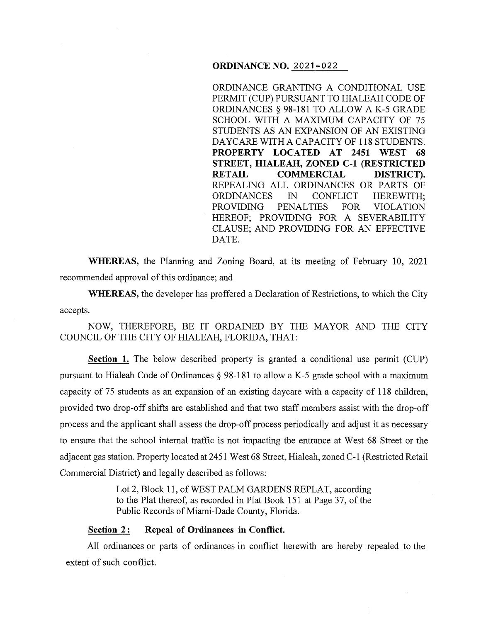## **ORDINANCE NO.** 2021-022

ORDINANCE GRANTING A CONDITIONAL USE PERMIT (CUP) PURSUANT TO HIALEAH CODE OF ORDINANCES§ 98-181 TO ALLOW A K-5 GRADE SCHOOL WITH A MAXIMUM CAPACITY OF 75 STUDENTS AS AN EXPANSION OF AN EXISTING DAYCARE WITH A CAPACITY OF 118 STUDENTS. **PROPERTY LOCATED AT 2451 WEST 68 STREET, HIALEAH, ZONED C-1 (RESTRICTED RETAIL COMMERCIAL DISTRICT).**  REPEALING ALL ORDINANCES OR PARTS OF ORDINANCES IN CONFLICT HEREWITH; PROVIDING PENALTIES FOR VIOLATION HEREOF; PROVIDING FOR A SEVERABILITY CLAUSE; AND PROVIDING FOR AN EFFECTIVE DATE.

**WHEREAS,** the Planning and Zoning Board, at its meeting of February 10, 2021 recommended approval of this ordinance; and

**WHEREAS,** the developer has proffered a Declaration of Restrictions, to which the City accepts.

NOW, THEREFORE, BE IT ORDAINED BY THE MAYOR AND THE CITY COUNCIL OF THE CITY OF HIALEAH, FLORIDA, THAT:

**Section 1.** The below described property is granted a conditional use permit (CUP) pursuant to Hialeah Code of Ordinances§ 98-181 to allow a K-5 grade school with a maximum capacity of 75 students as an expansion of an existing daycare with a capacity of 118 children, provided two drop-off shifts are established and that two staff members assist with the drop-off process and the applicant shall assess the drop-off process periodically and adjust it as necessary to ensure that the school internal traffic is not impacting the entrance at West 68 Street or the adjacent gas station. Property located at 2451 West 68 Street, Hialeah, zoned C-1 (Restricted Retail Commercial District) and legally described as follows:

> Lot 2, Block 11, of WEST PALM GARDENS REPLAT, according to the Plat thereof, as recorded in Plat Book 151 at Page 37, of the Public Records of Miami-Dade County, Florida.

## Section 2: Repeal of Ordinances in Conflict.

All ordinances or parts of ordinances in conflict herewith are hereby repealed to the extent of such conflict.